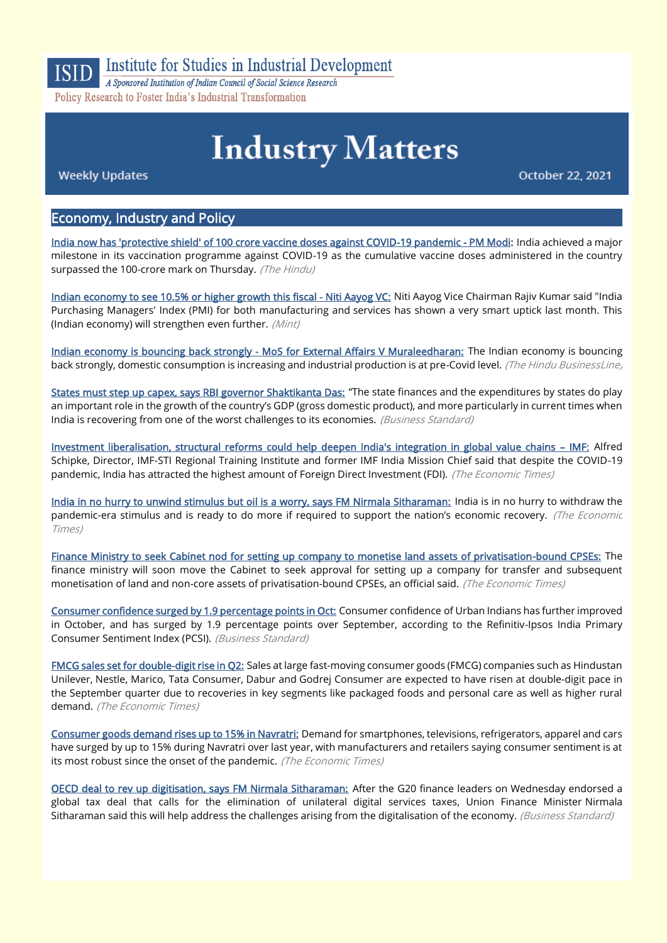

## Institute for Studies in Industrial Development

A Sponsored Institution of Indian Council of Social Science Research Policy Research to Foster India's Industrial Transformation

# **Industry Matters**

**Weekly Updates** 

October 22, 2021

#### Economy, Industry and Policy

[India now has 'protective shield' of 100 crore vaccine doses against COVID-19 pandemic - PM Modi:](https://www.thehindu.com/news/national/india-now-has-protective-shield-of-100-crore-vaccine-doses-against-covid-19-pandemic-pm-modi/article37104272.ece) India achieved a major milestone in its vaccination programme against COVID-19 as the cumulative vaccine doses administered in the country surpassed the 100-crore mark on Thursday. (The Hindu)

[Indian economy to see 10.5% or higher growth this fiscal - Niti Aayog VC:](https://www.livemint.com/news/india/indian-economy-to-see-10-5-or-higher-growth-this-fiscal-niti-aayog-vc-11634861300732.html) Niti Aayog Vice Chairman Rajiv Kumar said "India Purchasing Managers' Index (PMI) for both manufacturing and services has shown a very smart uptick last month. This (Indian economy) will strengthen even further. (Mint)

[Indian economy is bouncing back strongly - MoS for External Affairs V Muraleedharan:](https://www.thehindubusinessline.com/economy/indian-economy-is-bouncing-back-strongly-mos-for-external-affairs-v-muraleedharan/article37034852.ece) The Indian economy is bouncing back strongly, domestic consumption is increasing and industrial production is at pre-Covid level. (The Hindu BusinessLine)

[States must step up capex, says RBI governor Shaktikanta Das:](https://www.business-standard.com/article/economy-policy/states-must-step-up-capex-says-rbi-governor-shaktikanta-das-121101600059_1.html) "The state finances and the expenditures by states do play an important role in the growth of the country's GDP (gross domestic product), and more particularly in current times when India is recovering from one of the worst challenges to its economies. (Business Standard)

[Investment liberalisation, structural reforms could help deepen India's integration in global value chains](https://economictimes.indiatimes.com/news/economy/policy/further-investment-liberalisation-structural-reforms-could-help-deepen-integration-in-global-value-chains-imf/articleshow/87107830.cms) – IMF: Alfred Schipke, Director, IMF-STI Regional Training Institute and former IMF India Mission Chief said that despite the COVID-19 pandemic, India has attracted the highest amount of Foreign Direct Investment (FDI). (The Economic Times)

[India in no hurry to unwind stimulus but oil is a worry, says FM Nirmala Sitharaman:](https://economictimes.indiatimes.com/news/economy/policy/india-in-no-hurry-to-unwind-stimulus-but-oil-is-a-worry-says-fm-nirmala-sitharaman/articleshow/87101354.cms) India is in no hurry to withdraw the pandemic-era stimulus and is ready to do more if required to support the nation's economic recovery. (The Economic Times)

[Finance Ministry to seek Cabinet nod for setting up company to monetise land assets of privatisation-bound CPSEs:](https://economictimes.indiatimes.com/news/economy/finance/finance-ministry-to-seek-cabinet-nod-for-setting-up-company-to-monetise-land-assets-of-privatisation-bound-cpses/articleshow/87080228.cms) The finance ministry will soon move the Cabinet to seek approval for setting up a company for transfer and subsequent monetisation of land and non-core assets of privatisation-bound CPSEs, an official said. (The Economic Times)

[Consumer confidence surged by 1.9 percentage points in Oct:](https://www.business-standard.com/article/economy-policy/consumer-confidence-surged-by-1-9-percentage-points-in-oct-report-121102000539_1.html) Consumer confidence of Urban Indians has further improved in October, and has surged by 1.9 percentage points over September, according to the Refinitiv-Ipsos India Primary Consumer Sentiment Index (PCSI). (Business Standard)

[FMCG sales set for double-digit rise in Q2:](https://economictimes.indiatimes.com/industry/cons-products/fmcg/fmcg-sales-set-for-double-digit-rise-in-q2/articleshow/87125688.cms) Sales at large fast-moving consumer goods (FMCG) companies such as Hindustan Unilever, Nestle, Marico, Tata Consumer, Dabur and Godrej Consumer are expected to have risen at double-digit pace in the September quarter due to recoveries in key segments like packaged foods and personal care as well as higher rural demand. (The Economic Times)

[Consumer goods demand rises up to 15% in Navratri:](https://economictimes.indiatimes.com/industry/cons-products/durables/consumer-goods-demand-rises-up-to-15-in-navratri/articleshow/87033811.cms) Demand for smartphones, televisions, refrigerators, apparel and cars have surged by up to 15% during Navratri over last year, with manufacturers and retailers saying consumer sentiment is at its most robust since the onset of the pandemic. (The Economic Times)

[OECD deal to rev up digitisation, says FM Nirmala Sitharaman:](https://www.business-standard.com/article/economy-policy/oecd-deal-to-rev-up-digitisation-says-fm-nirmala-sitharaman-121101500051_1.html) After the G20 finance leaders on Wednesday endorsed a global tax deal that calls for the elimination of unilateral digital services taxes, Union Finance Minister Nirmala Sitharaman said this will help address the challenges arising from the digitalisation of the economy. (Business Standard)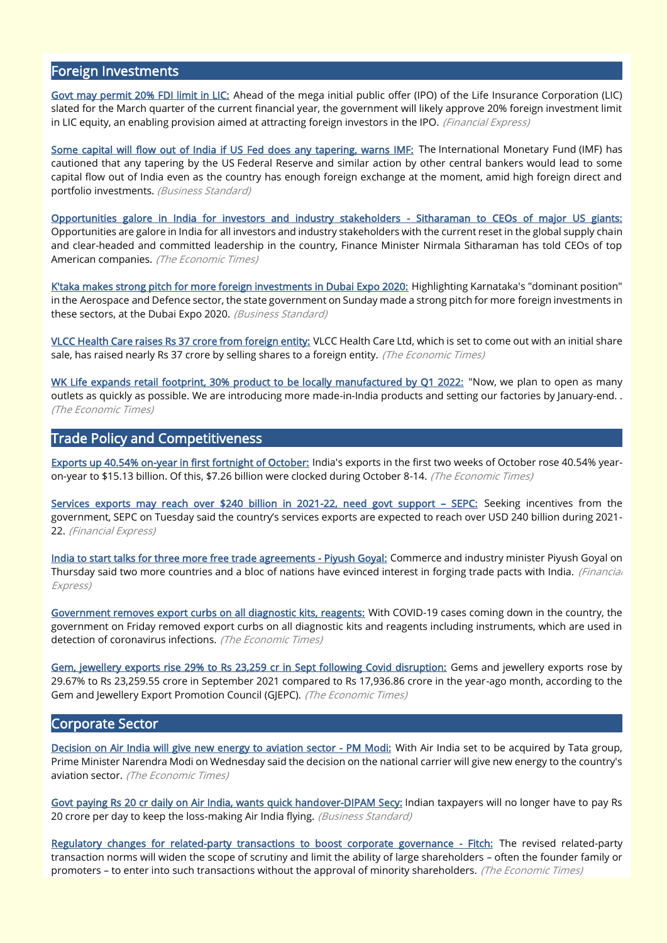#### Foreign Investments

[Govt may permit 20% FDI limit in LIC:](https://www.financialexpress.com/industry/govt-may-permit-20-fdi-limit-in-lic/2352715/?utm_source=whatsapp_web&utm_medium=social&utm_campaign=socialsharebuttons) Ahead of the mega initial public offer (IPO) of the Life Insurance Corporation (LIC) slated for the March quarter of the current financial year, the government will likely approve 20% foreign investment limit in LIC equity, an enabling provision aimed at attracting foreign investors in the IPO. (Financial Express)

[Some capital will flow out of India if US Fed does any tapering, warns IMF:](https://www.business-standard.com/article/economy-policy/some-capital-will-flow-out-of-india-if-us-fed-does-any-tapering-warns-imf-121101801113_1.html) The International Monetary Fund (IMF) has cautioned that any tapering by the US Federal Reserve and similar action by other central bankers would lead to some capital flow out of India even as the country has enough foreign exchange at the moment, amid high foreign direct and portfolio investments. (Business Standard)

[Opportunities galore in India for investors and industry stakeholders - Sitharaman to CEOs of major US giants:](https://economictimes.indiatimes.com/news/economy/foreign-trade/with-current-reset-in-global-supply-chain-opportunities-galore-in-india-for-investors-and-industry-stakeholders-nirmala-sitharaman/articleshow/87077767.cms) Opportunities are galore in India for all investors and industry stakeholders with the current reset in the global supply chain and clear-headed and committed leadership in the country, Finance Minister Nirmala Sitharaman has told CEOs of top American companies. (The Economic Times)

[K'taka makes strong pitch for more foreign investments in Dubai Expo 2020:](https://www.business-standard.com/article/economy-policy/k-taka-makes-strong-pitch-for-more-foreign-investments-in-dubai-expo-2020-121101700719_1.html) Highlighting Karnataka's "dominant position" in the Aerospace and Defence sector, the state government on Sunday made a strong pitch for more foreign investments in these sectors, at the Dubai Expo 2020. *(Business Standard)* 

[VLCC Health Care raises Rs 37 crore from foreign entity:](https://economictimes.indiatimes.com/industry/healthcare/biotech/healthcare/vlcc-health-care-raises-rs-37-crore-from-foreign-entity/articleshow/87082751.cms?utm_source=whatsapp_pwa&utm_medium=social&utm_campaign=socialsharebuttons&from=mdr) VLCC Health Care Ltd, which is set to come out with an initial share sale, has raised nearly Rs 37 crore by selling shares to a foreign entity. (The Economic Times)

[WK Life expands retail footprint, 30% product to be locally manufactured by Q1 2022:](https://economictimes.indiatimes.com/industry/cons-products/electronics/wk-life-expands-retail-footprint-30-product-to-be-locally-manufactured-by-q1-2022/articleshow/87080537.cms) "Now, we plan to open as many outlets as quickly as possible. We are introducing more made-in-India products and setting our factories by January-end. . (The Economic Times)

#### Trade Policy and Competitiveness

[Exports up 40.54% on-year in first fortnight of October:](https://economictimes.indiatimes.com/news/economy/indicators/exports-up-40-54-on-year-in-first-fortnight-of-october/articleshow/87111242.cms) India's exports in the first two weeks of October rose 40.54% yearon-year to \$15.13 billion. Of this, \$7.26 billion were clocked during October 8-14. (The Economic Times)

[Services exports may reach over \\$240 billion in 2021-22, need govt support](https://www.financialexpress.com/economy/services-exports-may-reach-over-240-billion-in-2021-22-need-govt-support-sepc/2352383/) - SEPC: Seeking incentives from the government, SEPC on Tuesday said the country's services exports are expected to reach over USD 240 billion during 2021- 22. (Financial Express)

[India to start talks for three more free trade agreements - Piyush Goyal:](https://www.financialexpress.com/economy/india-to-start-talks-for-three-more-free-trade-agreements-piyush-goyal/2350105/) Commerce and industry minister Piyush Goyal on Thursday said two more countries and a bloc of nations have evinced interest in forging trade pacts with India. (Financial Express)

[Government removes export curbs on all diagnostic kits, reagents:](https://economictimes.indiatimes.com/news/economy/foreign-trade/government-removes-export-curbs-on-all-diagnostic-kits-reagents/articleshow/87041459.cms) With COVID-19 cases coming down in the country, the government on Friday removed export curbs on all diagnostic kits and reagents including instruments, which are used in detection of coronavirus infections. (The Economic Times)

[Gem, jewellery exports rise 29% to Rs 23,259 cr in Sept following Covid disruption:](https://economictimes.indiatimes.com/industry/cons-products/fashion-/-cosmetics-/-jewellery/gem-jewellery-exports-rise-29-to-rs-23259-cr-in-sept-following-covid-disruption/articleshow/87062609.cms) Gems and jewellery exports rose by 29.67% to Rs 23,259.55 crore in September 2021 compared to Rs 17,936.86 crore in the year-ago month, according to the Gem and Jewellery Export Promotion Council (GJEPC). (The Economic Times)

#### Corporate Sector

[Decision on Air India will give new energy to aviation sector - PM Modi:](https://economictimes.indiatimes.com/industry/transportation/airlines-/-aviation/decision-on-air-india-will-give-new-energy-to-aviation-sector-pm-modi/articleshow/87156146.cms) With Air India set to be acquired by Tata group, Prime Minister Narendra Modi on Wednesday said the decision on the national carrier will give new energy to the country's aviation sector. (The Economic Times)

[Govt paying Rs 20 cr daily on Air India, wants quick handover-DIPAM Secy:](https://www.business-standard.com/article/companies/govt-paying-rs-20-cr-daily-on-air-india-wants-quick-handover-dipam-secy-121101700233_1.html) Indian taxpayers will no longer have to pay Rs 20 crore per day to keep the loss-making Air India flying. (Business Standard)

[Regulatory changes for related-party transactions to boost corporate governance - Fitch:](https://economictimes.indiatimes.com/news/company/corporate-trends/regulatory-changes-for-related-party-transactions-to-boost-corporate-governance-fitch/articleshow/87106710.cms) The revised related-party transaction norms will widen the scope of scrutiny and limit the ability of large shareholders – often the founder family or promoters – to enter into such transactions without the approval of minority shareholders. (The Economic Times)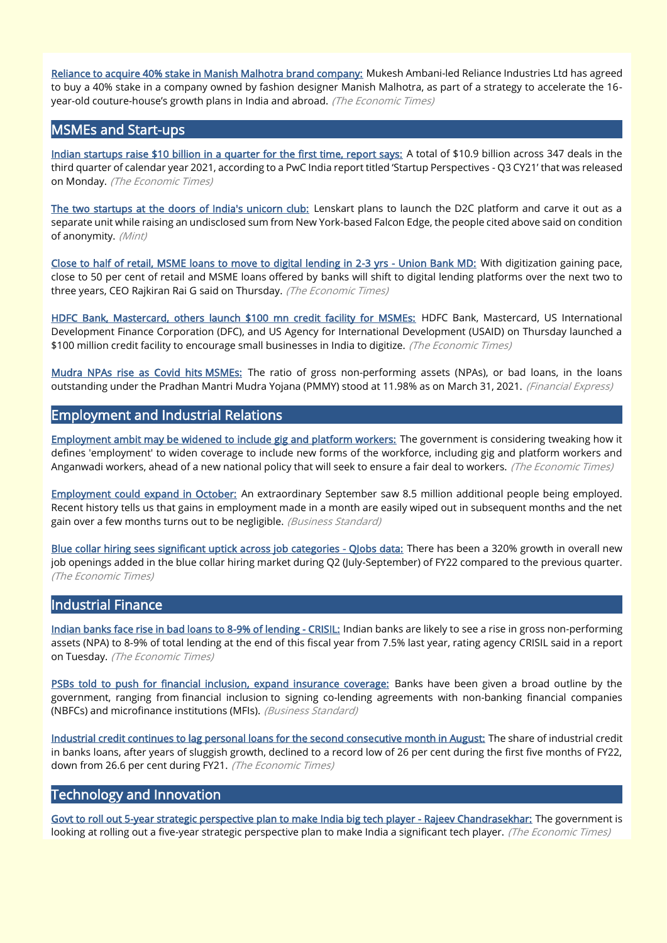[Reliance to acquire 40% stake in Manish Malhotra brand company:](https://economictimes.indiatimes.com/industry/cons-products/fashion-/-cosmetics-/-jewellery/reliance-to-acquire-40-stake-in-manish-malhotra-brand-company/articleshow/87042271.cms) Mukesh Ambani-led Reliance Industries Ltd has agreed to buy a 40% stake in a company owned by fashion designer Manish Malhotra, as part of a strategy to accelerate the 16 year-old couture-house's growth plans in India and abroad. (The Economic Times)

#### MSMEs and Start-ups

[Indian startups raise \\$10 billion in a quarter for the first time, report says:](https://economictimes.indiatimes.com/tech/startups/indian-startups-raise-10-billion-in-a-quarter-for-the-first-time-report-says/articleshow/87106975.cms) A total of \$10.9 billion across 347 deals in the third quarter of calendar year 2021, according to a PwC India report titled 'Startup Perspectives - Q3 CY21' that was released on Monday. (The Economic Times)

[The two startups at the doors of India's unicorn club:](https://www.livemint.com/companies/start-ups/globalbees-lenskart-s-new-d2c-unit-to-turn-unicorns-11634668283484.html) Lenskart plans to launch the D2C platform and carve it out as a separate unit while raising an undisclosed sum from New York-based Falcon Edge, the people cited above said on condition of anonymity. (Mint)

[Close to half of retail, MSME loans to move to digital lending in 2-3 yrs - Union Bank MD:](https://bfsi.economictimes.indiatimes.com/news/banking/close-to-half-of-retail-msme-loans-to-move-to-digital-lending-in-2-3-yrs-union-bank-md/87034621) With digitization gaining pace, close to 50 per cent of retail and MSME loans offered by banks will shift to digital lending platforms over the next two to three years, CEO Rajkiran Rai G said on Thursday. (The Economic Times)

[HDFC Bank, Mastercard, others launch \\$100 mn credit facility for MSMEs:](https://economictimes.indiatimes.com/small-biz/sme-sector/hdfc-bank-mastercard-others-launch-100-mn-credit-facility-for-msmes/articleshow/87182352.cms) HDFC Bank, Mastercard, US International Development Finance Corporation (DFC), and US Agency for International Development (USAID) on Thursday launched a \$100 million credit facility to encourage small businesses in India to digitize. (The Economic Times)

[Mudra NPAs rise as Covid hits MSMEs:](https://www.financialexpress.com/industry/banking-finance/mudra-npas-rise-as-covid-hits-msmes/2352779/?utm_source=whatsapp_web&utm_medium=social&utm_campaign=socialsharebuttons) The ratio of gross non-performing assets (NPAs), or bad loans, in the loans outstanding under the Pradhan Mantri Mudra Yojana (PMMY) stood at 11.98% as on March 31, 2021. (Financial Express)

#### Employment and Industrial Relations

[Employment ambit may be widened to include gig and platform workers:](https://economictimes.indiatimes.com/jobs/employment-ambit-may-be-widened-to-include-gig-and-platform-workers/articleshow/87122198.cms) The government is considering tweaking how it defines 'employment' to widen coverage to include new forms of the workforce, including gig and platform workers and Anganwadi workers, ahead of a new national policy that will seek to ensure a fair deal to workers. (The Economic Times)

[Employment could expand in October:](https://www.business-standard.com/article/opinion/employment-could-expand-in-october-121101801323_1.html) An extraordinary September saw 8.5 million additional people being employed. Recent history tells us that gains in employment made in a month are easily wiped out in subsequent months and the net gain over a few months turns out to be negligible. (Business Standard)

Blue collar hiring sees significant uptick across job categories - Qlobs data: There has been a 320% growth in overall new job openings added in the blue collar hiring market during Q2 (July-September) of FY22 compared to the previous quarter. (The Economic Times)

#### Industrial Finance

[Indian banks face rise in bad loans to 8-9% of lending - CRISIL:](https://economictimes.indiatimes.com/industry/banking/finance/banking/indian-banks-face-rise-in-bad-loans-to-8-9-of-lending-crisil/articleshow/87135072.cms) Indian banks are likely to see a rise in gross non-performing assets (NPA) to 8-9% of total lending at the end of this fiscal year from 7.5% last year, rating agency CRISIL said in a report on Tuesday. (The Economic Times)

[PSBs told to push for financial inclusion, expand insurance coverage:](https://www.business-standard.com/article/economy-policy/psbs-told-to-push-for-financial-inclusion-expand-insurance-coverage-121102100162_1.html) Banks have been given a broad outline by the government, ranging from financial inclusion to signing co-lending agreements with non-banking financial companies (NBFCs) and microfinance institutions (MFIs). (Business Standard)

[Industrial credit continues to lag personal loans for the second consecutive month in August:](https://bfsi.economictimes.indiatimes.com/news/industry/industrial-credit-continues-to-lag-personal-loans-for-the-second-consecutive-month-in-august/87171722) The share of industrial credit in banks loans, after years of sluggish growth, declined to a record low of 26 per cent during the first five months of FY22, down from 26.6 per cent during FY21. (The Economic Times)

#### Technology and Innovation

[Govt to roll out 5-year strategic perspective plan to make India big tech player - Rajeev Chandrasekhar:](https://economictimes.indiatimes.com/news/economy/policy/govt-to-roll-out-5-year-strategic-perspective-plan-to-make-india-big-tech-player-rajeev-chandrasekhar/articleshow/87139830.cms) The government is looking at rolling out a five-year strategic perspective plan to make India a significant tech player. (The Economic Times)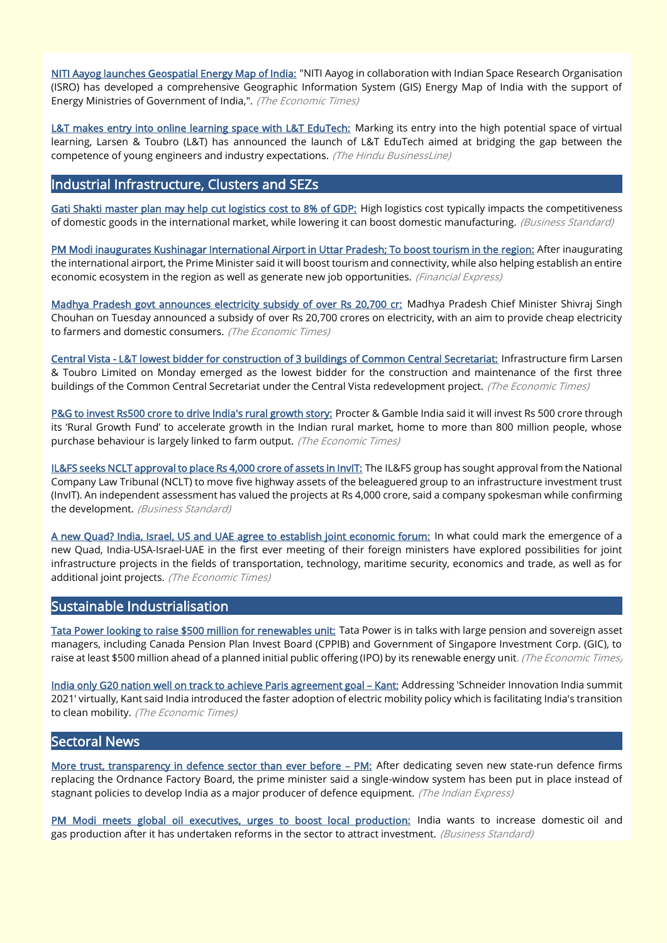[NITI Aayog launches Geospatial Energy Map of India:](https://economictimes.indiatimes.com/industry/energy/power/niti-aayog-launches-geospatial-energy-map-of-india/articleshow/87126167.cms) "NITI Aayog in collaboration with Indian Space Research Organisation (ISRO) has developed a comprehensive Geographic Information System (GIS) Energy Map of India with the support of Energy Ministries of Government of India,". (The Economic Times)

[L&T makes entry into online learning space with L&T EduTech:](https://www.thehindubusinessline.com/news/education/lt-makes-entry-into-online-learning-space-with-lt-edutech/article37009170.ece) Marking its entry into the high potential space of virtual learning, Larsen & Toubro (L&T) has announced the launch of L&T EduTech aimed at bridging the gap between the competence of young engineers and industry expectations. (The Hindu BusinessLine)

#### Industrial Infrastructure, Clusters and SEZs

[Gati Shakti master plan may help cut logistics cost to 8% of GDP:](https://www.business-standard.com/article/economy-policy/gati-shakti-master-plan-may-help-cut-logistics-cost-to-8-of-gdp-121101500037_1.html) High logistics cost typically impacts the competitiveness of domestic goods in the international market, while lowering it can boost domestic manufacturing. (Business Standard)

[PM Modi inaugurates Kushinagar International Airport in Uttar Pradesh; To boost tourism in the region:](https://www.financialexpress.com/infrastructure/airlines-aviation/pm-modi-inaugurates-kushinagar-international-airport-in-uttar-pradesh-to-boost-tourism-in-the-region/2353069/) After inaugurating the international airport, the Prime Minister said it will boost tourism and connectivity, while also helping establish an entire economic ecosystem in the region as well as generate new job opportunities. (Financial Express)

[Madhya Pradesh govt announces electricity subsidy of over Rs 20,700 cr:](https://economictimes.indiatimes.com/industry/energy/power/madhya-pradesh-govt-announces-electricity-subsidy-of-over-rs-20700-cr/articleshow/87133844.cms) Madhya Pradesh Chief Minister Shivraj Singh Chouhan on Tuesday announced a subsidy of over Rs 20,700 crores on electricity, with an aim to provide cheap electricity to farmers and domestic consumers. (The Economic Times)

[Central Vista - L&T lowest bidder for construction of 3 buildings of Common Central Secretariat:](https://economictimes.indiatimes.com/industry/indl-goods/svs/construction/central-vista-lt-lowest-bidder-for-construction-of-3-buildings-of-common-central-secretariat/articleshow/87116508.cms) Infrastructure firm Larsen & Toubro Limited on Monday emerged as the lowest bidder for the construction and maintenance of the first three buildings of the Common Central Secretariat under the Central Vista redevelopment project. (The Economic Times)

[P&G to invest Rs500 crore to drive India's rural growth story:](https://economictimes.indiatimes.com/industry/cons-products/fmcg/pg-to-invest-rs500-crore-to-drive-indias-rural-growth-story/articleshow/87129731.cms) Procter & Gamble India said it will invest Rs 500 crore through its 'Rural Growth Fund' to accelerate growth in the Indian rural market, home to more than 800 million people, whose purchase behaviour is largely linked to farm output. (The Economic Times)

[IL&FS seeks NCLT approval to place Rs 4,000 crore of assets in InvIT:](https://www.business-standard.com/article/finance/il-fs-seeks-nclt-approval-to-place-rs-4-000-crore-of-assets-in-invit-121101600060_1.html) The IL&FS group has sought approval from the National Company Law Tribunal (NCLT) to move five highway assets of the beleaguered group to an infrastructure investment trust (InvIT). An independent assessment has valued the projects at Rs 4,000 crore, said a company spokesman while confirming the development. (Business Standard)

[A new Quad? India, Israel, US and UAE agree to establish joint economic forum:](https://economictimes.indiatimes.com/news/economy/foreign-trade/india-israel-us-and-uae-agree-to-establish-joint-economic-forum/articleshow/87139659.cms) In what could mark the emergence of a new Quad, India-USA-Israel-UAE in the first ever meeting of their foreign ministers have explored possibilities for joint infrastructure projects in the fields of transportation, technology, maritime security, economics and trade, as well as for additional joint projects. (The Economic Times)

#### Sustainable Industrialisation

[Tata Power looking to raise \\$500 million for renewables unit:](https://economictimes.indiatimes.com/industry/renewables/tata-power-looking-to-raise-500-million-for-renewables-unit/articleshow/87033681.cms) Tata Power is in talks with large pension and sovereign asset managers, including Canada Pension Plan Invest Board (CPPIB) and Government of Singapore Investment Corp. (GIC), to raise at least \$500 million ahead of a planned initial public offering (IPO) by its renewable energy unit. (The Economic Times)

[India only G20 nation well on track to achieve Paris agreement goal](https://economictimes.indiatimes.com/news/india/india-only-g20-nation-well-on-track-to-achieve-paris-agreement-goal-kant/articleshow/87134153.cms) – Kant: Addressing 'Schneider Innovation India summit 2021' virtually, Kant said India introduced the faster adoption of electric mobility policy which is facilitating India's transition to clean mobility. (The Economic Times)

#### Sectoral News

[More trust, transparency in defence sector than ever before](https://indianexpress.com/article/cities/delhi/more-trust-transparency-in-defence-sector-than-ever-before-pm-7573179/) – PM: After dedicating seven new state-run defence firms replacing the Ordnance Factory Board, the prime minister said a single-window system has been put in place instead of stagnant policies to develop India as a major producer of defence equipment. (The Indian Express)

[PM Modi meets global oil executives, urges to boost local production:](https://www.business-standard.com/article/economy-policy/pm-modi-meets-global-oil-and-gas-ceos-focus-on-increasing-domestic-output-121102001518_1.html) India wants to increase domestic oil and gas production after it has undertaken reforms in the sector to attract investment. (Business Standard)